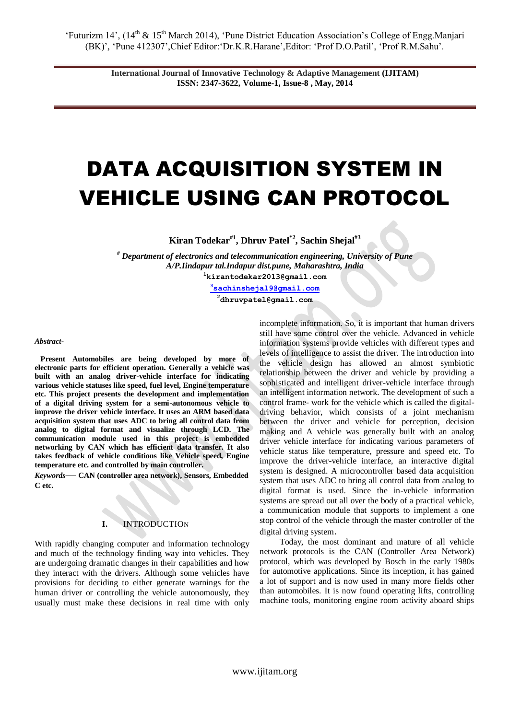'Futurizm 14', (14<sup>th</sup> & 15<sup>th</sup> March 2014), 'Pune District Education Association's College of Engg.Manjari (BK)', 'Pune 412307',Chief Editor:'Dr.K.R.Harane',Editor: 'Prof D.O.Patil', 'Prof R.M.Sahu'.

> **International Journal of Innovative Technology & Adaptive Management (IJITAM) ISSN: 2347-3622, Volume-1, Issue-8 , May, 2014**

# DATA ACQUISITION SYSTEM IN VEHICLE USING CAN PROTOCOL

**Kiran Todekar#1, Dhruv Patel\*2, Sachin Shejal#3**

*# Department of electronics and telecommunication engineering, University of Pune A/P.Iindapur tal.Indapur dist.pune, Maharashtra, India*  **<sup>1</sup>kirantodekar2013@gmail.com**

**<sup>3</sup>[sachinshejal9@gmail.com](mailto:3sachinshejal9@gmail.com) <sup>2</sup>dhruvpatel@gmail.com**

*Abstract-*

Present Automobiles are being developed by more **electronic parts for efficient operation. Generally a vehicle was built with an analog driver-vehicle interface for indicating various vehicle statuses like speed, fuel level, Engine temperature etc. This project presents the development and implementation of a digital driving system for a semi-autonomous vehicle to improve the driver vehicle interface. It uses an ARM based data acquisition system that uses ADC to bring all control data from analog to digital format and visualize through LCD. The communication module used in this project is embedded networking by CAN which has efficient data transfer. It also takes feedback of vehicle conditions like Vehicle speed, Engine temperature etc. and controlled by main controller.**

*Keywords*— **CAN (controller area network), Sensors, Embedded C etc.**

## **I.** INTRODUCTION

With rapidly changing computer and information technology and much of the technology finding way into vehicles. They are undergoing dramatic changes in their capabilities and how they interact with the drivers. Although some vehicles have provisions for deciding to either generate warnings for the human driver or controlling the vehicle autonomously, they usually must make these decisions in real time with only incomplete information. So, it is important that human drivers still have some control over the vehicle. Advanced in vehicle information systems provide vehicles with different types and levels of intelligence to assist the driver. The introduction into the vehicle design has allowed an almost symbiotic relationship between the driver and vehicle by providing a sophisticated and intelligent driver-vehicle interface through an intelligent information network. The development of such a control frame- work for the vehicle which is called the digitaldriving behavior, which consists of a joint mechanism between the driver and vehicle for perception, decision making and A vehicle was generally built with an analog driver vehicle interface for indicating various parameters of vehicle status like temperature, pressure and speed etc. To improve the driver-vehicle interface, an interactive digital system is designed. A microcontroller based data acquisition system that uses ADC to bring all control data from analog to digital format is used. Since the in-vehicle information systems are spread out all over the body of a practical vehicle, a communication module that supports to implement a one stop control of the vehicle through the master controller of the digital driving system.

 Today, the most dominant and mature of all vehicle network protocols is the CAN (Controller Area Network) protocol, which was developed by Bosch in the early 1980s for automotive applications. Since its inception, it has gained a lot of support and is now used in many more fields other than automobiles. It is now found operating lifts, controlling machine tools, monitoring engine room activity aboard ships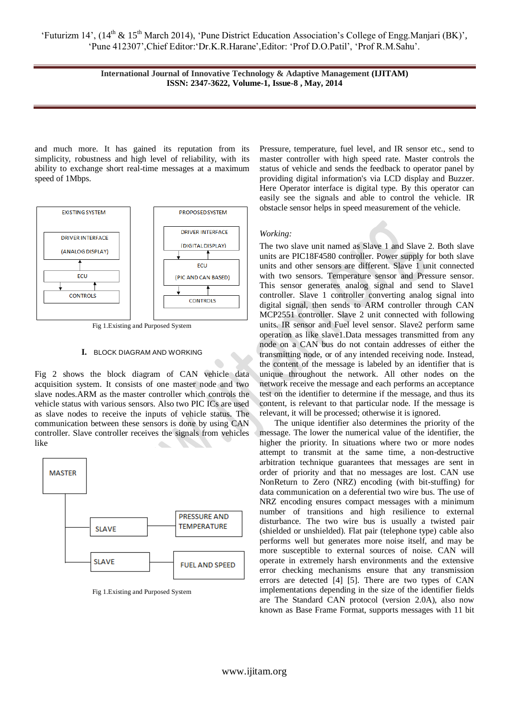'Futurizm 14', (14<sup>th</sup> & 15<sup>th</sup> March 2014), 'Pune District Education Association's College of Engg.Manjari (BK)', 'Pune 412307',Chief Editor:'Dr.K.R.Harane',Editor: 'Prof D.O.Patil', 'Prof R.M.Sahu'.

> **International Journal of Innovative Technology & Adaptive Management (IJITAM) ISSN: 2347-3622, Volume-1, Issue-8 , May, 2014**

and much more. It has gained its reputation from its simplicity, robustness and high level of reliability, with its ability to exchange short real-time messages at a maximum speed of 1Mbps.



Fig 1.Existing and Purposed System

#### **I.** BLOCK DIAGRAM AND WORKING

Fig 2 shows the block diagram of CAN vehicle data acquisition system. It consists of one master node and two slave nodes.ARM as the master controller which controls the vehicle status with various sensors. Also two PIC ICs are used as slave nodes to receive the inputs of vehicle status. The communication between these sensors is done by using CAN controller. Slave controller receives the signals from vehicles like



Fig 1.Existing and Purposed System

Pressure, temperature, fuel level, and IR sensor etc., send to master controller with high speed rate. Master controls the status of vehicle and sends the feedback to operator panel by providing digital information's via LCD display and Buzzer. Here Operator interface is digital type. By this operator can easily see the signals and able to control the vehicle. IR obstacle sensor helps in speed measurement of the vehicle.

#### *Working:*

The two slave unit named as Slave 1 and Slave 2. Both slave units are PIC18F4580 controller. Power supply for both slave units and other sensors are different. Slave 1 unit connected with two sensors. Temperature sensor and Pressure sensor. This sensor generates analog signal and send to Slave1 controller. Slave 1 controller converting analog signal into digital signal, then sends to ARM controller through CAN MCP2551 controller. Slave 2 unit connected with following units. IR sensor and Fuel level sensor. Slave2 perform same operation as like slave1.Data messages transmitted from any node on a CAN bus do not contain addresses of either the transmitting node, or of any intended receiving node. Instead, the content of the message is labeled by an identifier that is unique throughout the network. All other nodes on the network receive the message and each performs an acceptance test on the identifier to determine if the message, and thus its content, is relevant to that particular node. If the message is relevant, it will be processed; otherwise it is ignored.

 The unique identifier also determines the priority of the message. The lower the numerical value of the identifier, the higher the priority. In situations where two or more nodes attempt to transmit at the same time, a non-destructive arbitration technique guarantees that messages are sent in order of priority and that no messages are lost. CAN use NonReturn to Zero (NRZ) encoding (with bit-stuffing) for data communication on a deferential two wire bus. The use of NRZ encoding ensures compact messages with a minimum number of transitions and high resilience to external disturbance. The two wire bus is usually a twisted pair (shielded or unshielded). Flat pair (telephone type) cable also performs well but generates more noise itself, and may be more susceptible to external sources of noise. CAN will operate in extremely harsh environments and the extensive error checking mechanisms ensure that any transmission errors are detected [4] [5]. There are two types of CAN implementations depending in the size of the identifier fields are The Standard CAN protocol (version 2.0A), also now known as Base Frame Format, supports messages with 11 bit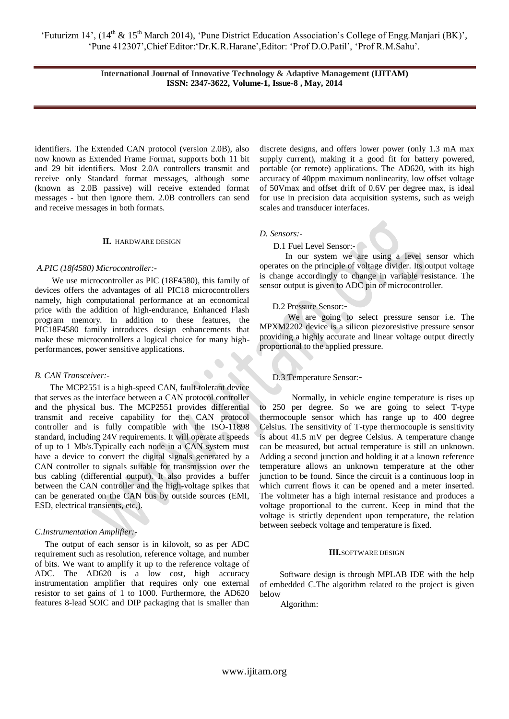**International Journal of Innovative Technology & Adaptive Management (IJITAM) ISSN: 2347-3622, Volume-1, Issue-8 , May, 2014**

identifiers. The Extended CAN protocol (version 2.0B), also now known as Extended Frame Format, supports both 11 bit and 29 bit identifiers. Most 2.0A controllers transmit and receive only Standard format messages, although some (known as 2.0B passive) will receive extended format messages - but then ignore them. 2.0B controllers can send and receive messages in both formats.

#### **II.** HARDWARE DESIGN

#### *A.PIC (18f4580) Microcontroller:-*

 We use microcontroller as PIC (18F4580), this family of devices offers the advantages of all PIC18 microcontrollers namely, high computational performance at an economical price with the addition of high-endurance, Enhanced Flash program memory. In addition to these features, the PIC18F4580 family introduces design enhancements that make these microcontrollers a logical choice for many highperformances, power sensitive applications.

#### *B. CAN Transceiver:-*

 The MCP2551 is a high-speed CAN, fault-tolerant device that serves as the interface between a CAN protocol controller and the physical bus. The MCP2551 provides differential transmit and receive capability for the CAN protocol controller and is fully compatible with the ISO-11898 standard, including 24V requirements. It will operate at speeds of up to 1 Mb/s.Typically each node in a CAN system must have a device to convert the digital signals generated by a CAN controller to signals suitable for transmission over the bus cabling (differential output). It also provides a buffer between the CAN controller and the high-voltage spikes that can be generated on the CAN bus by outside sources (EMI, ESD, electrical transients, etc.).

#### *C.Instrumentation Amplifier:-*

 The output of each sensor is in kilovolt, so as per ADC requirement such as resolution, reference voltage, and number of bits. We want to amplify it up to the reference voltage of ADC. The AD620 is a low cost, high accuracy instrumentation amplifier that requires only one external resistor to set gains of 1 to 1000. Furthermore, the AD620 features 8-lead SOIC and DIP packaging that is smaller than

discrete designs, and offers lower power (only 1.3 mA max supply current), making it a good fit for battery powered, portable (or remote) applications. The AD620, with its high accuracy of 40ppm maximum nonlinearity, low offset voltage of 50Vmax and offset drift of 0.6V per degree max, is ideal for use in precision data acquisition systems, such as weigh scales and transducer interfaces.

#### *D. Sensors:-*

## D.1 Fuel Level Sensor:-

 In our system we are using a level sensor which operates on the principle of voltage divider. Its output voltage is change accordingly to change in variable resistance. The sensor output is given to ADC pin of microcontroller.

#### D.2 Pressure Sensor:-

 We are going to select pressure sensor i.e. The MPXM2202 device is a silicon piezoresistive pressure sensor providing a highly accurate and linear voltage output directly proportional to the applied pressure.

#### D.3 Temperature Sensor:-

 Normally, in vehicle engine temperature is rises up to 250 per degree. So we are going to select T-type thermocouple sensor which has range up to 400 degree Celsius. The sensitivity of T-type thermocouple is sensitivity is about 41.5 mV per degree Celsius. A temperature change can be measured, but actual temperature is still an unknown. Adding a second junction and holding it at a known reference temperature allows an unknown temperature at the other junction to be found. Since the circuit is a continuous loop in which current flows it can be opened and a meter inserted. The voltmeter has a high internal resistance and produces a voltage proportional to the current. Keep in mind that the voltage is strictly dependent upon temperature, the relation between seebeck voltage and temperature is fixed.

#### **III.**SOFTWARE DESIGN

 Software design is through MPLAB IDE with the help of embedded C.The algorithm related to the project is given below

Algorithm: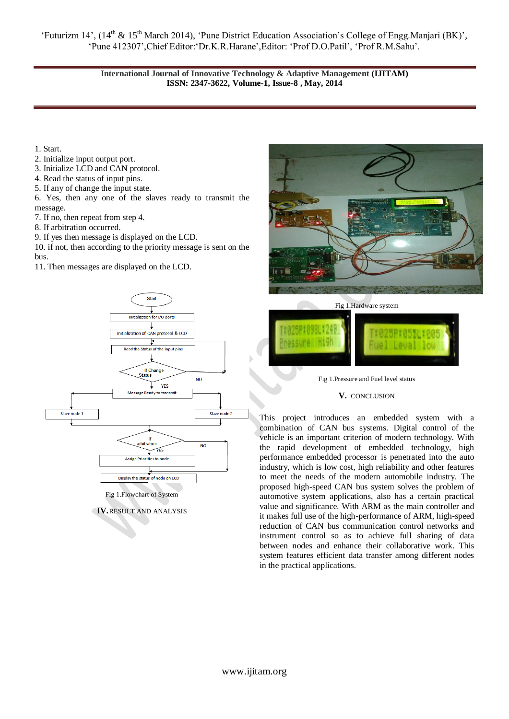'Futurizm 14', (14<sup>th</sup> & 15<sup>th</sup> March 2014), 'Pune District Education Association's College of Engg.Manjari (BK)', 'Pune 412307',Chief Editor:'Dr.K.R.Harane',Editor: 'Prof D.O.Patil', 'Prof R.M.Sahu'.

> **International Journal of Innovative Technology & Adaptive Management (IJITAM) ISSN: 2347-3622, Volume-1, Issue-8 , May, 2014**

1. Start.

- 2. Initialize input output port.
- 3. Initialize LCD and CAN protocol.
- 4. Read the status of input pins.
- 5. If any of change the input state.
- 6. Yes, then any one of the slaves ready to transmit the message.
- 7. If no, then repeat from step 4.
- 8. If arbitration occurred.
- 9. If yes then message is displayed on the LCD.

10. if not, then according to the priority message is sent on the bus.

11. Then messages are displayed on the LCD.



**IV.**RESULT AND ANALYSIS



Fig 1.Pressure and Fuel level status

 $\mathbf{I}$ 

## **V.** CONCLUSION

This project introduces an embedded system with a combination of CAN bus systems. Digital control of the vehicle is an important criterion of modern technology. With the rapid development of embedded technology, high performance embedded processor is penetrated into the auto industry, which is low cost, high reliability and other features to meet the needs of the modern automobile industry. The proposed high-speed CAN bus system solves the problem of automotive system applications, also has a certain practical value and significance. With ARM as the main controller and it makes full use of the high-performance of ARM, high-speed reduction of CAN bus communication control networks and instrument control so as to achieve full sharing of data between nodes and enhance their collaborative work. This system features efficient data transfer among different nodes in the practical applications.